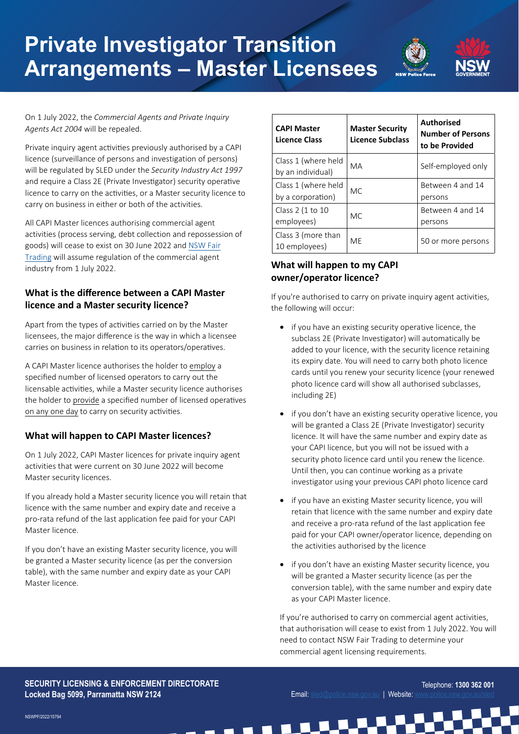# **Private Investigator Transition Arrangements – Master Licensees**



On 1 July 2022, the *Commercial Agents and Private Inquiry Agents Act 2004* will be repealed.

Private inquiry agent activities previously authorised by a CAPI licence (surveillance of persons and investigation of persons) will be regulated by SLED under the *Security Industry Act 1997* and require a Class 2E (Private Investigator) security operative licence to carry on the activities, or a Master security licence to carry on business in either or both of the activities.

All CAPI Master licences authorising commercial agent activities (process serving, debt collection and repossession of goods) will cease to exist on 30 June 2022 and N[SW Fair](https://www.fairtrading.nsw.gov.au/trades-and-businesses/business-essentials/information-for-specific-industries/debt-collection,-repossession-of-goods-and-process-serving)  [Trading](https://www.fairtrading.nsw.gov.au/trades-and-businesses/business-essentials/information-for-specific-industries/debt-collection,-repossession-of-goods-and-process-serving) will assume regulation of the commercial agent industry from 1 July 2022.

## **What is the difference between a CAPI Master licence and a Master security licence?**

Apart from the types of activities carried on by the Master licensees, the major difference is the way in which a licensee carries on business in relation to its operators/operatives.

A CAPI Master licence authorises the holder to employ a specified number of licensed operators to carry out the licensable activities, while a Master security licence authorises the holder to provide a specified number of licensed operatives on any one day to carry on security activities.

## **What will happen to CAPI Master licences?**

On 1 July 2022, CAPI Master licences for private inquiry agent activities that were current on 30 June 2022 will become Master security licences.

If you already hold a Master security licence you will retain that licence with the same number and expiry date and receive a pro-rata refund of the last application fee paid for your CAPI Master licence.

If you don't have an existing Master security licence, you will be granted a Master security licence (as per the conversion table), with the same number and expiry date as your CAPI Master licence.

| <b>CAPI Master</b><br><b>Licence Class</b> | <b>Master Security</b><br><b>Licence Subclass</b> | <b>Authorised</b><br><b>Number of Persons</b><br>to be Provided |
|--------------------------------------------|---------------------------------------------------|-----------------------------------------------------------------|
| Class 1 (where held<br>by an individual)   | MA                                                | Self-employed only                                              |
| Class 1 (where held<br>by a corporation)   | MC.                                               | Between 4 and 14<br>persons                                     |
| Class 2 (1 to 10<br>employees)             | MC.                                               | Between 4 and 14<br>persons                                     |
| Class 3 (more than<br>10 employees)        | MF                                                | 50 or more persons                                              |

# **What will happen to my CAPI owner/operator licence?**

If you're authorised to carry on private inquiry agent activities, the following will occur:

- if you have an existing security operative licence, the subclass 2E (Private Investigator) will automatically be added to your licence, with the security licence retaining its expiry date. You will need to carry both photo licence cards until you renew your security licence (your renewed photo licence card will show all authorised subclasses, including 2E)
- if you don't have an existing security operative licence, you will be granted a Class 2E (Private Investigator) security licence. It will have the same number and expiry date as your CAPI licence, but you will not be issued with a security photo licence card until you renew the licence. Until then, you can continue working as a private investigator using your previous CAPI photo licence card
- if you have an existing Master security licence, you will retain that licence with the same number and expiry date and receive a pro-rata refund of the last application fee paid for your CAPI owner/operator licence, depending on the activities authorised by the licence
- if you don't have an existing Master security licence, you will be granted a Master security licence (as per the conversion table), with the same number and expiry date as your CAPI Master licence.

If you're authorised to carry on commercial agent activities, that authorisation will cease to exist from 1 July 2022. You will need to contact NSW Fair Trading to determine your commercial agent licensing requirements.

#### **SECURITY LICENSING & ENFORCEMENT DIRECTORATE Locked Bag 5099, Parramatta NSW 2124**



**DO**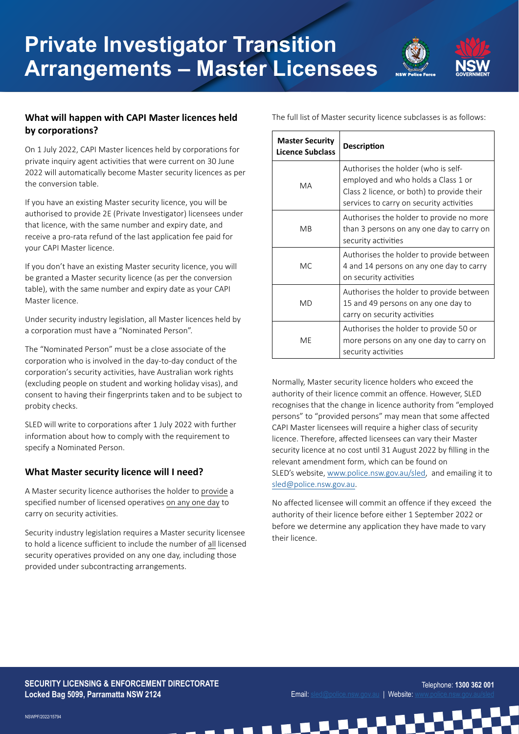

## **What will happen with CAPI Master licences held by corporations?**

On 1 July 2022, CAPI Master licences held by corporations for private inquiry agent activities that were current on 30 June 2022 will automatically become Master security licences as per the conversion table.

If you have an existing Master security licence, you will be authorised to provide 2E (Private Investigator) licensees under that licence, with the same number and expiry date, and receive a pro-rata refund of the last application fee paid for your CAPI Master licence.

If you don't have an existing Master security licence, you will be granted a Master security licence (as per the conversion table), with the same number and expiry date as your CAPI Master licence.

Under security industry legislation, all Master licences held by a corporation must have a "Nominated Person".

The "Nominated Person" must be a close associate of the corporation who is involved in the day-to-day conduct of the corporation's security activities, have Australian work rights (excluding people on student and working holiday visas), and consent to having their fingerprints taken and to be subject to probity checks.

SLED will write to corporations after 1 July 2022 with further information about how to comply with the requirement to specify a Nominated Person.

## **What Master security licence will I need?**

A Master security licence authorises the holder to provide a specified number of licensed operatives on any one day to carry on security activities.

Security industry legislation requires a Master security licensee to hold a licence sufficient to include the number of all licensed security operatives provided on any one day, including those provided under subcontracting arrangements.

The full list of Master security licence subclasses is as follows:

| <b>Master Security</b><br>Licence Subclass | <b>Description</b>                                                                                                                                                   |  |
|--------------------------------------------|----------------------------------------------------------------------------------------------------------------------------------------------------------------------|--|
| MA                                         | Authorises the holder (who is self-<br>employed and who holds a Class 1 or<br>Class 2 licence, or both) to provide their<br>services to carry on security activities |  |
| <b>M<sub>B</sub></b>                       | Authorises the holder to provide no more<br>than 3 persons on any one day to carry on<br>security activities                                                         |  |
| <b>MC</b>                                  | Authorises the holder to provide between<br>4 and 14 persons on any one day to carry<br>on security activities                                                       |  |
| <b>MD</b>                                  | Authorises the holder to provide between<br>15 and 49 persons on any one day to<br>carry on security activities                                                      |  |
| MF                                         | Authorises the holder to provide 50 or<br>more persons on any one day to carry on<br>security activities                                                             |  |

Normally, Master security licence holders who exceed the authority of their licence commit an offence. However, SLED recognises that the change in licence authority from "employed persons" to "provided persons" may mean that some affected CAPI Master licensees will require a higher class of security licence. Therefore, affected licensees can vary their Master security licence at no cost until 31 August 2022 by filling in the relevant amendment form, which can be found on SLED's website, [www.police.nsw.gov.au/sled](http://www.police.nsw.gov.au/sled), and emailing it to [sled@police.nsw.gov.au](mailto:sled%40police.nsw.gov.au?subject=).

No affected licensee will commit an offence if they exceed the authority of their licence before either 1 September 2022 or before we determine any application they have made to vary their licence.

#### **SECURITY LICENSING & ENFORCEMENT DIRECTORATE Locked Bag 5099, Parramatta NSW 2124**



NSWPF/2022/15794